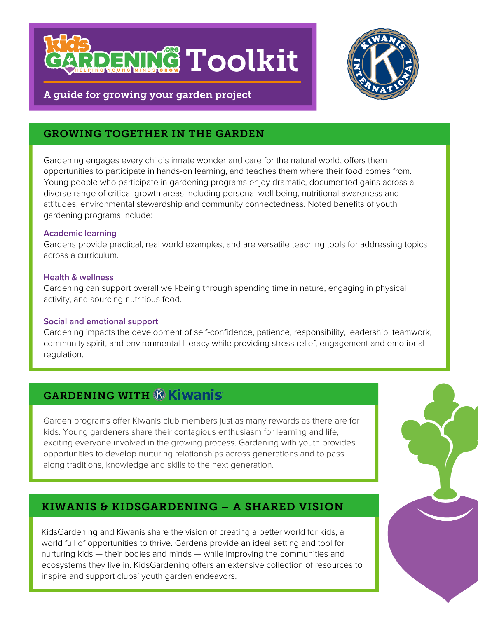



## A guide for growing your garden project

## GROWING TOGETHER IN THE GARDEN

Gardening engages every child's innate wonder and care for the natural world, offers them opportunities to participate in hands-on learning, and teaches them where their food comes from. Young people who participate in gardening programs enjoy dramatic, documented gains across a diverse range of critical growth areas including personal well-being, nutritional awareness and attitudes, environmental stewardship and community connectedness. Noted benefits of youth gardening programs include:

#### **Academic learning**

Gardens provide practical, real world examples, and are versatile teaching tools for addressing topics across a curriculum.

#### **Health & wellness**

Gardening can support overall well-being through spending time in nature, engaging in physical activity, and sourcing nutritious food.

#### **Social and emotional support**

Gardening impacts the development of self-confidence, patience, responsibility, leadership, teamwork, community spirit, and environmental literacy while providing stress relief, engagement and emotional regulation.

# **GARDENING WITH & Kiwanis**

Garden programs offer Kiwanis club members just as many rewards as there are for kids. Young gardeners share their contagious enthusiasm for learning and life, exciting everyone involved in the growing process. Gardening with youth provides opportunities to develop nurturing relationships across generations and to pass along traditions, knowledge and skills to the next generation.

## KIWANIS & KIDSGARDENING – A SHARED VISION

KidsGardening and Kiwanis share the vision of creating a better world for kids, a world full of opportunities to thrive. Gardens provide an ideal setting and tool for nurturing kids — their bodies and minds — while improving the communities and ecosystems they live in. KidsGardening offers an extensive collection of resources to inspire and support clubs' youth garden endeavors.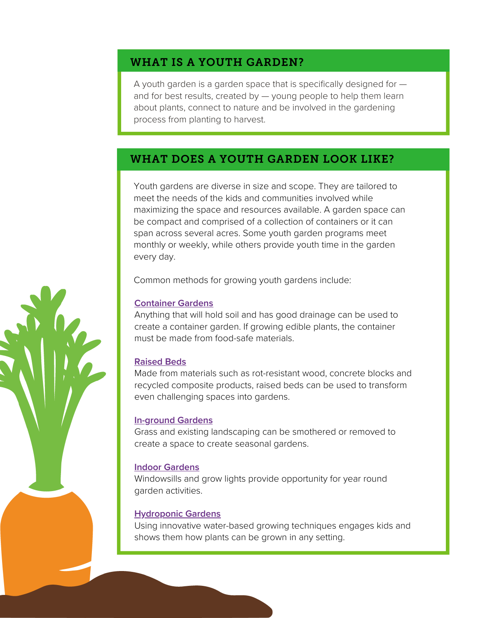## WHAT IS A YOUTH GARDEN?

A youth garden is a garden space that is specifically designed for  $$ and for best results, created by — young people to help them learn about plants, connect to nature and be involved in the gardening process from planting to harvest.

## WHAT DOES A YOUTH GARDEN LOOK LIKE?

Youth gardens are diverse in size and scope. They are tailored to meet the needs of the kids and communities involved while maximizing the space and resources available. A garden space can be compact and comprised of a collection of containers or it can span across several acres. Some youth garden programs meet monthly or weekly, while others provide youth time in the garden every day.

Common methods for growing youth gardens include:

#### **[Container](https://kidsgardening.org/resources/designing-a-school-garden-consider-container-gardening/) Gardens**

Anything that will hold soil and has good drainage can be used to create a container garden. If growing edible plants, the container must be made from food-safe materials.

#### **[Raised](https://kidsgardening.org/resources/designing-a-school-garden-raised-beds-101-2/) Beds**

Made from materials such as rot-resistant wood, concrete blocks and recycled composite products, raised beds can be used to transform even challenging spaces into gardens.

#### **[In-ground](https://kidsgardening.org/resources/designing-a-school-garden-building-a-lasagna-garden/) Gardens**

Grass and existing landscaping can be smothered or removed to create a space to create seasonal gardens.

#### **Indoor [Gardens](https://kidsgardening.org/resources/gardening-basics-indoor-gardening/)**

Windowsills and grow lights provide opportunity for year round garden activities.

#### **[Hydroponic](https://kidsgardening.org/resources/gardening-basics-hydroponics/) Gardens**

Using innovative water-based growing techniques engages kids and shows them how plants can be grown in any setting.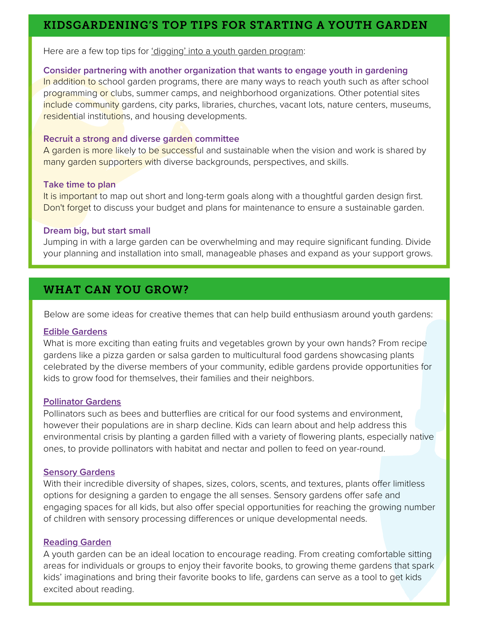## KIDSGARDENING'S TOP TIPS FOR STARTING A YOUTH GARDEN

Here are a few top tips for <u>['digging'](https://kidsgardening.org/resource-create-and-sustain-a-program/) into a youth garden program</u>:

#### **Consider partnering with another organization that wants to engage youth in gardening**

In addition to school garden programs, there are many ways to reach youth such as after school programming or clubs, summer camps, and neighborhood organizations. Other potential sites include community gardens, city parks, libraries, churches, vacant lots, nature centers, museums, residential institutions, and housing developments.

#### **Recruit a strong and diverse garden committee**

A garden is more likely to be successful and sustainable when the vision and work is shared by many garden supporters with diverse backgrounds, perspectives, and skills.

#### **Take time to plan**

It is important to map out short and long-term goals along with a thoughtful garden design first. Don't forget to discuss your budget and plans for maintenance to ensure a sustainable garden.

#### **Dream big, but start small**

Jumping in with a large garden can be overwhelming and may require significant funding. Divide your planning and installation into small, manageable phases and expand as your support grows.

## WHAT CAN YOU GROW?

Below are some ideas for creative themes that can help build enthusiasm around youth gardens:

#### **Edible [Gardens](https://kidsgardening.org/resources/gardening-basics-choosing-what-to-grow-vegetables-and-herbs/)**

What is more exciting than eating fruits and vegetables grown by your own hands? From recipe gardens like a pizza garden or salsa garden to multicultural food gardens showcasing plants celebrated by the diverse members of your community, edible gardens provide [opportunities](https://kidsgardening.org/resources/gardening-basics-choosing-what-to-grow-vegetables-and-herbs/) for kids to grow food for themselves, their families and their neighbors.

#### **[Pollinator](https://kidsgardening.org/resources/gardening-basics-encourage-pollinators-and-beneficial-insects/) Garde[ns](https://kidsgardening.org/resources/gardening-basics-encourage-pollinators-and-beneficial-insects/)**

[P](https://kidsgardening.org/resources/gardening-basics-choosing-what-to-grow-vegetables-and-herbs/)ollinators such as bees and butterflies are critical for our food systems and environment, however their populations are in sharp decline. Kids can learn about and help address this environmental crisis by planting a garden filled with a variety of flowering plants, especially native ones, to provide pollinators with habitat and nectar and pollen to feed on year-round.

#### **[Sensory](https://kidsgardening.org/resources/garden-activities-designing-a-sensory-garden/) Garden[s](https://kidsgardening.org/resources/garden-activities-designing-a-sensory-garden/)**

With their incredible diversity of shapes, sizes, colors, scents, and textures, plants offer limitless options for designing a garden to engage the all senses. Sensory gardens offer safe and engaging spaces for all kids, but also offer special opportunities for reaching the growing number of children with sensory processing differences or unique developmental needs.

#### **[Reading](https://kidsgardening.org/resources/digging-deeper-create-a-reading-garden/) Garden**

A youth garden can be an ideal location to encourage reading. From creating comfortable sitting areas for individuals or groups to enjoy their favorite books, to growing theme gardens that spark kids' imaginations and bring their favorite books to life, gardens can serve as a tool to get kids excited about reading.